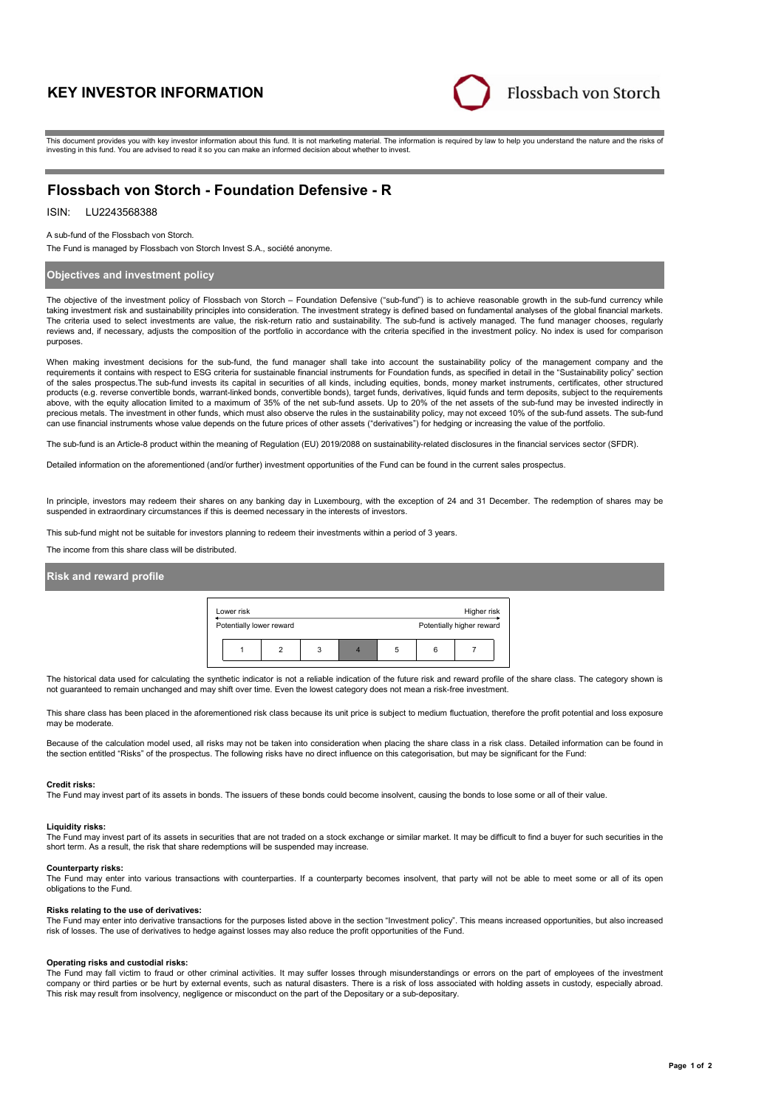# **KEY INVESTOR INFORMATION**



This document provides you with key investor information about this fund. It is not marketing material. The information is required by law to help you understand the nature and the risks of investing in this fund. You are advised to read it so you can make an informed decision about whether to invest.

# **Flossbach von Storch - Foundation Defensive - R**

# ISIN: LU2243568388

A sub-fund of the Flossbach von Storch.

The Fund is managed by Flossbach von Storch Invest S.A., société anonyme.

# **Objectives and investment policy**

The objective of the investment policy of Flossbach von Storch – Foundation Defensive ("sub-fund") is to achieve reasonable growth in the sub-fund currency while taking investment risk and sustainability principles into consideration. The investment strategy is defined based on fundamental analyses of the global financial markets. The criteria used to select investments are value, the risk-return ratio and sustainability. The sub-fund is actively managed. The fund manager chooses, regularly reviews and, if necessary, adjusts the composition of the portfolio in accordance with the criteria specified in the investment policy. No index is used for comparison purposes.

When making investment decisions for the sub-fund, the fund manager shall take into account the sustainability policy of the management company and the requirements it contains with respect to ESG criteria for sustainable financial instruments for Foundation funds, as specified in detail in the "Sustainability policy" section of the sales prospectus.The sub-fund invests its capital in securities of all kinds, including equities, bonds, money market instruments, certificates, other structured<br>products (e.g. reverse convertible bonds, warrant-lin above, with the equity allocation limited to a maximum of 35% of the net sub-fund assets. Up to 20% of the net assets of the sub-fund may be invested indirectly in precious metals. The investment in other funds, which must also observe the rules in the sustainability policy, may not exceed 10% of the sub-fund assets. The sub-fund can use financial instruments whose value depends on the future prices of other assets ("derivatives") for hedging or increasing the value of the portfolio.

The sub-fund is an Article-8 product within the meaning of Regulation (EU) 2019/2088 on sustainability-related disclosures in the financial services sector (SFDR).

Detailed information on the aforementioned (and/or further) investment opportunities of the Fund can be found in the current sales prospectus.

In principle, investors may redeem their shares on any banking day in Luxembourg, with the exception of 24 and 31 December. The redemption of shares may be suspended in extraordinary circumstances if this is deemed necessary in the interests of investors.

This sub-fund might not be suitable for investors planning to redeem their investments within a period of 3 years.

The income from this share class will be distributed.

# **Risk and reward profile**

| Lower risk               |  |   |  |   | Higher risk |                           |  |
|--------------------------|--|---|--|---|-------------|---------------------------|--|
| Potentially lower reward |  |   |  |   |             | Potentially higher reward |  |
|                          |  | 3 |  | b |             |                           |  |

The historical data used for calculating the synthetic indicator is not a reliable indication of the future risk and reward profile of the share class. The category shown is not guaranteed to remain unchanged and may shift over time. Even the lowest category does not mean a risk-free investment.

This share class has been placed in the aforementioned risk class because its unit price is subject to medium fluctuation, therefore the profit potential and loss exposure may be moderate

Because of the calculation model used, all risks may not be taken into consideration when placing the share class in a risk class. Detailed information can be found in the section entitled "Risks" of the prospectus. The following risks have no direct influence on this categorisation, but may be significant for the Fund:

#### **Credit risks:**

The Fund may invest part of its assets in bonds. The issuers of these bonds could become insolvent, causing the bonds to lose some or all of their value.

## **Liquidity risks:**

The Fund may invest part of its assets in securities that are not traded on a stock exchange or similar market. It may be difficult to find a buyer for such securities in the short term. As a result, the risk that share redemptions will be suspended may increase.

### **Counterparty risks:**

The Fund may enter into various transactions with counterparties. If a counterparty becomes insolvent, that party will not be able to meet some or all of its open obligations to the Fund.

#### **Risks relating to the use of derivatives:**

The Fund may enter into derivative transactions for the purposes listed above in the section "Investment policy". This means increased opportunities, but also increased risk of losses. The use of derivatives to hedge against losses may also reduce the profit opportunities of the Fund.

#### **Operating risks and custodial risks:**

The Fund may fall victim to fraud or other criminal activities. It may suffer losses through misunderstandings or errors on the part of employees of the investment company or third parties or be hurt by external events, such as natural disasters. There is a risk of loss associated with holding assets in custody, especially abroad. This risk may result from insolvency, negligence or misconduct on the part of the Depositary or a sub-depositary.